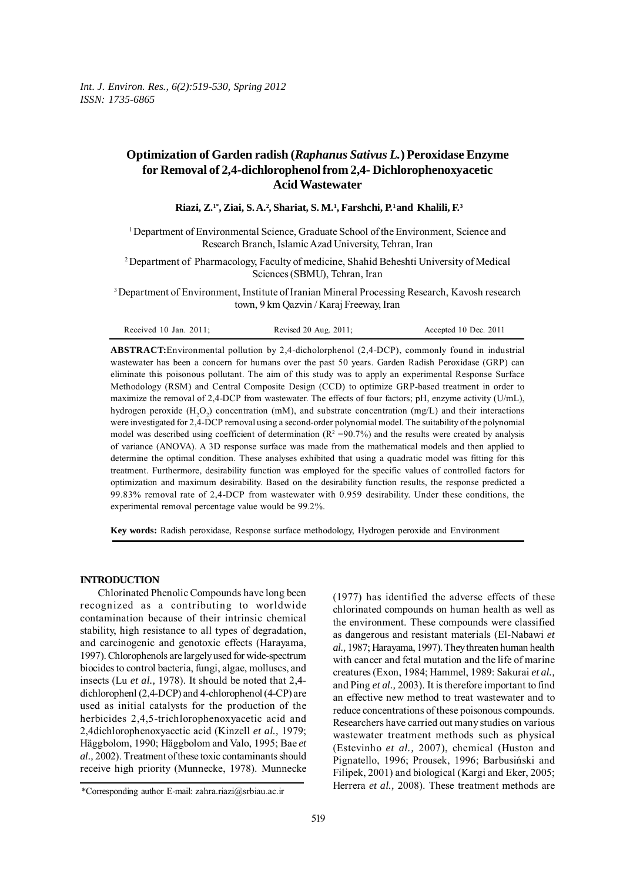# **Optimization of Garden radish (***Raphanus Sativus L.***) Peroxidase Enzyme for Removal of 2,4-dichlorophenolfrom 2,4- Dichlorophenoxyacetic Acid Wastewater**

Riazi, Z.<sup>1\*</sup>, Ziai, S.A.<sup>2</sup>, Shariat, S.M.<sup>1</sup>, Farshchi, P.<sup>1</sup> and Khalili, F.<sup>3</sup>

1 Department of Environmental Science, Graduate School of the Environment, Science and Research Branch, Islamic Azad University, Tehran, Iran

2 Department of Pharmacology, Faculty of medicine, Shahid Beheshti University of Medical Sciences (SBMU), Tehran, Iran

3 Department of Environment, Institute of Iranian Mineral Processing Research, Kavosh research town, 9 km Qazvin / Karaj Freeway, Iran

| Received 10 Jan. $2011$ ; | Revised 20 Aug. $2011$ ; | Accepted 10 Dec. 2011 |
|---------------------------|--------------------------|-----------------------|
|---------------------------|--------------------------|-----------------------|

**ABSTRACT:**Environmental pollution by 2,4-dicholorphenol (2,4-DCP), commonly found in industrial wastewater has been a concern for humans over the past 50 years. Garden Radish Peroxidase (GRP) can eliminate this poisonous pollutant. The aim of this study was to apply an experimental Response Surface Methodology (RSM) and Central Composite Design (CCD) to optimize GRP-based treatment in order to maximize the removal of 2,4-DCP from wastewater. The effects of four factors; pH, enzyme activity (U/mL), hydrogen peroxide ( $H_2O_2$ ) concentration (mM), and substrate concentration (mg/L) and their interactions were investigated for 2,4-DCP removal using a second-order polynomial model. The suitability of the polynomial model was described using coefficient of determination ( $R^2 = 90.7\%$ ) and the results were created by analysis of variance (ANOVA). A 3D response surface was made from the mathematical models and then applied to determine the optimal condition. These analyses exhibited that using a quadratic model was fitting for this treatment. Furthermore, desirability function was employed for the specific values of controlled factors for optimization and maximum desirability. Based on the desirability function results, the response predicted a 99.83% removal rate of 2,4-DCP from wastewater with 0.959 desirability. Under these conditions, the experimental removal percentage value would be 99.2%.

**Key words:** Radish peroxidase, Response surface methodology, Hydrogen peroxide and Environment

## **INTRODUCTION**

Chlorinated Phenolic Compounds have long been recognized as a contributing to worldwide contamination because of their intrinsic chemical stability, high resistance to all types of degradation, and carcinogenic and genotoxic effects (Harayama, 1997). Chlorophenols are largely used for wide-spectrum biocides to control bacteria, fungi, algae, molluscs, and insects (Lu *et al.,* 1978). It should be noted that 2,4 dichlorophenl (2,4-DCP) and 4-chlorophenol (4-CP) are used as initial catalysts for the production of the herbicides 2,4,5-trichlorophenoxyacetic acid and 2,4dichlorophenoxyacetic acid (Kinzell *et al.,* 1979; Häggbolom, 1990; Häggbolom and Valo, 1995; Bae *et al.,* 2002). Treatment of these toxic contaminants should receive high priority (Munnecke, 1978). Munnecke

(1977) has identified the adverse effects of these chlorinated compounds on human health as well as the environment. These compounds were classified as dangerous and resistant materials (El-Nabawi *et al.,* 1987; Harayama, 1997). They threaten human health with cancer and fetal mutation and the life of marine creatures (Exon, 1984; Hammel, 1989: Sakurai *et al.,* and Ping *et al.,* 2003). It is therefore important to find an effective new method to treat wastewater and to reduce concentrations of these poisonous compounds. Researchers have carried out many studies on various wastewater treatment methods such as physical (Estevinho *et al.,* 2007), chemical (Huston and Pignatello, 1996; Prousek, 1996; Barbusiński and Filipek, 2001) and biological (Kargi and Eker, 2005; Herrera *et al.,* 2008). These treatment methods are

<sup>\*</sup>Corresponding author E-mail: zahra.riazi@srbiau.ac.ir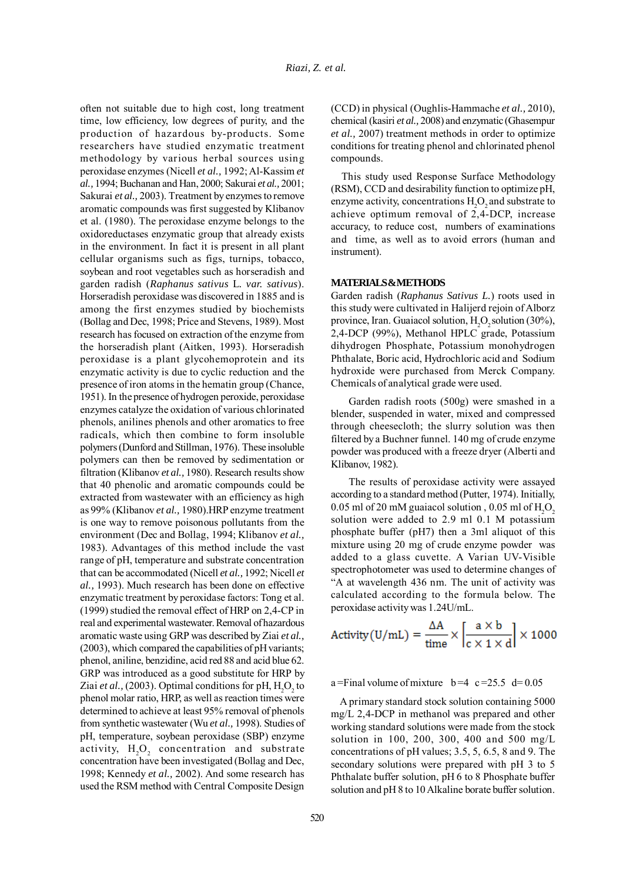often not suitable due to high cost, long treatment time, low efficiency, low degrees of purity, and the production of hazardous by-products. Some researchers have studied enzymatic treatment methodology by various herbal sources using peroxidase enzymes (Nicell *et al.,* 1992; Al-Kassim *et al.,* 1994; Buchanan and Han, 2000; Sakurai *et al.,* 2001; Sakurai *et al.,* 2003). Treatment by enzymes to remove aromatic compounds was first suggested by Klibanov et al. (1980). The peroxidase enzyme belongs to the oxidoreductases enzymatic group that already exists in the environment. In fact it is present in all plant cellular organisms such as figs, turnips, tobacco, soybean and root vegetables such as horseradish and garden radish (*Raphanus sativus* L*. var. sativus*). Horseradish peroxidase was discovered in 1885 and is among the first enzymes studied by biochemists (Bollag and Dec, 1998; Price and Stevens, 1989). Most research has focused on extraction of the enzyme from the horseradish plant (Aitken, 1993). Horseradish peroxidase is a plant glycohemoprotein and its enzymatic activity is due to cyclic reduction and the presence of iron atoms in the hematin group (Chance, 1951). In the presence of hydrogen peroxide, peroxidase enzymes catalyze the oxidation of various chlorinated phenols, anilines phenols and other aromatics to free radicals, which then combine to form insoluble polymers (Dunford and Stillman, 1976). These insoluble polymers can then be removed by sedimentation or filtration (Klibanov *et al.,* 1980). Research results show that 40 phenolic and aromatic compounds could be extracted from wastewater with an efficiency as high as 99% (Klibanov *et al.,* 1980).HRP enzyme treatment is one way to remove poisonous pollutants from the environment (Dec and Bollag, 1994; Klibanov *et al.,* 1983). Advantages of this method include the vast range of pH, temperature and substrate concentration that can be accommodated (Nicell *et al.,* 1992; Nicell *et al.,* 1993). Much research has been done on effective enzymatic treatment by peroxidase factors: Tong et al. (1999) studied the removal effect of HRP on 2,4-CP in real and experimental wastewater. Removal of hazardous aromatic waste using GRP was described by Ziai *et al.,* (2003), which compared the capabilities of pH variants; phenol, aniline, benzidine, acid red 88 and acid blue 62. GRP was introduced as a good substitute for HRP by Ziai *et al.*, (2003). Optimal conditions for pH,  $H_2O_2$  to phenol molar ratio, HRP, as well as reaction times were determined to achieve at least 95% removal of phenols from synthetic wastewater (Wu *et al.,* 1998). Studies of pH, temperature, soybean peroxidase (SBP) enzyme activity,  $H_2O_2$  concentration and substrate concentration have been investigated (Bollag and Dec, 1998; Kennedy *et al.,* 2002). And some research has used the RSM method with Central Composite Design

(CCD) in physical (Oughlis-Hammache *et al.,* 2010), chemical (kasiri *et al.,* 2008) and enzymatic (Ghasempur *et al.,* 2007) treatment methods in order to optimize conditions for treating phenol and chlorinated phenol compounds.

This study used Response Surface Methodology (RSM), CCD and desirability function to optimize pH, enzyme activity, concentrations  $H_2O_2$  and substrate to achieve optimum removal of 2,4-DCP, increase accuracy, to reduce cost, numbers of examinations and time, as well as to avoid errors (human and instrument).

## **MATERIALS & METHODS**

Garden radish (*Raphanus Sativus L.*) roots used in this study were cultivated in Halijerd rejoin of Alborz province, Iran. Guaiacol solution,  $H_2O_2$  solution (30%), 2,4-DCP (99%), Methanol HPLC grade, Potassium dihydrogen Phosphate, Potassium monohydrogen Phthalate, Boric acid, Hydrochloric acid and Sodium hydroxide were purchased from Merck Company. Chemicals of analytical grade were used.

Garden radish roots (500g) were smashed in a blender, suspended in water, mixed and compressed through cheesecloth; the slurry solution was then filtered by a Buchner funnel. 140 mg of crude enzyme powder was produced with a freeze dryer (Alberti and Klibanov, 1982).

The results of peroxidase activity were assayed according to a standard method (Putter, 1974). Initially, 0.05 ml of 20 mM guaiacol solution , 0.05 ml of  $\mathrm{H}_{2}\mathrm{O}_{2}$ solution were added to 2.9 ml 0.1 M potassium phosphate buffer (pH7) then a 3ml aliquot of this mixture using 20 mg of crude enzyme powder was added to a glass cuvette. A Varian UV-Visible spectrophotometer was used to determine changes of "A at wavelength 436 nm. The unit of activity was calculated according to the formula below. The peroxidase activity was 1.24U/mL.

Activity(U/mL) = 
$$
\frac{\Delta A}{\text{time}} \times \left[ \frac{a \times b}{c \times 1 \times d} \right] \times 1000
$$

a=Final volume of mixture  $b=4$  c=25.5 d=0.05

 A primary standard stock solution containing 5000 mg/L 2,4-DCP in methanol was prepared and other working standard solutions were made from the stock solution in 100, 200, 300, 400 and 500 mg/L concentrations of pH values; 3.5, 5, 6.5, 8 and 9. The secondary solutions were prepared with pH 3 to 5 Phthalate buffer solution, pH 6 to 8 Phosphate buffer solution and pH 8 to 10 Alkaline borate buffer solution.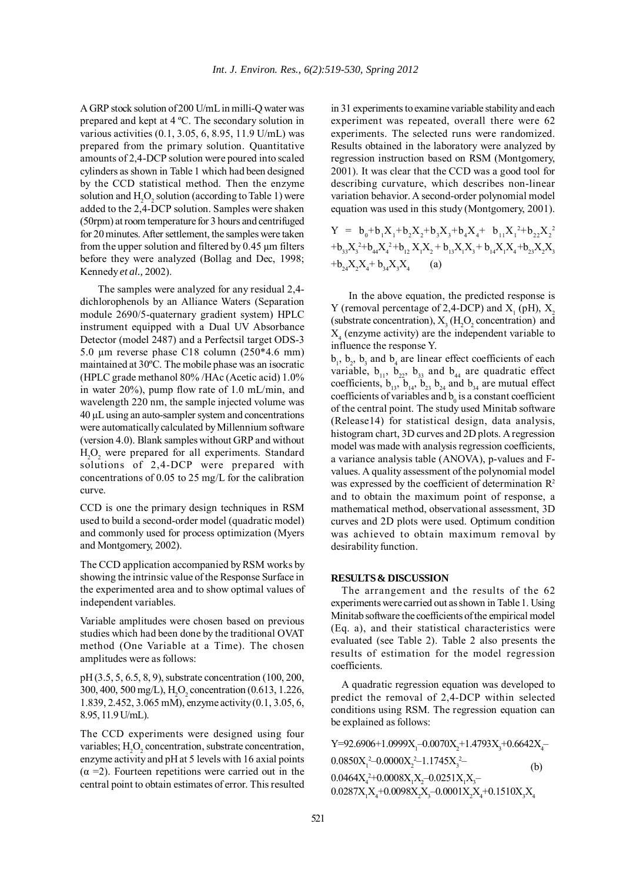A GRP stock solution of 200 U/mL in milli-Q water was prepared and kept at 4 ºC. The secondary solution in various activities (0.1, 3.05, 6, 8.95, 11.9 U/mL) was prepared from the primary solution. Quantitative amounts of 2,4-DCP solution were poured into scaled cylinders as shown in Table 1 which had been designed by the CCD statistical method. Then the enzyme solution and  $H_2O_2$  solution (according to Table 1) were added to the 2,4-DCP solution. Samples were shaken (50rpm) at room temperature for 3 hours and centrifuged for 20 minutes. After settlement, the samples were taken from the upper solution and filtered by 0.45 µm filters before they were analyzed (Bollag and Dec, 1998; Kennedy *et al.,* 2002).

The samples were analyzed for any residual 2,4 dichlorophenols by an Alliance Waters (Separation module 2690/5-quaternary gradient system) HPLC instrument equipped with a Dual UV Absorbance Detector (model 2487) and a Perfectsil target ODS-3 5.0 um reverse phase C18 column  $(250*4.6 \text{ mm})$ maintained at 30ºC. The mobile phase was an isocratic (HPLC grade methanol 80% /HAc (Acetic acid) 1.0% in water 20%), pump flow rate of 1.0 mL/min, and wavelength 220 nm, the sample injected volume was 40 µL using an auto-sampler system and concentrations were automatically calculated by Millennium software (version 4.0). Blank samples without GRP and without  $H_2O_2$  were prepared for all experiments. Standard solutions of 2,4-DCP were prepared with concentrations of 0.05 to 25 mg/L for the calibration curve.

CCD is one the primary design techniques in RSM used to build a second-order model (quadratic model) and commonly used for process optimization (Myers and Montgomery, 2002).

The CCD application accompanied by RSM works by showing the intrinsic value of the Response Surface in the experimented area and to show optimal values of independent variables.

Variable amplitudes were chosen based on previous studies which had been done by the traditional OVAT method (One Variable at a Time). The chosen amplitudes were as follows:

pH (3.5, 5, 6.5, 8, 9), substrate concentration (100, 200, 300, 400, 500 mg/L),  $H_2O_2$  concentration (0.613, 1.226, 1.839, 2.452, 3.065 mM), enzyme activity (0.1, 3.05, 6, 8.95, 11.9 U/mL).

The CCD experiments were designed using four variables;  $H_2O_2$  concentration, substrate concentration, enzyme activity and pH at 5 levels with 16 axial points  $(\alpha = 2)$ . Fourteen repetitions were carried out in the central point to obtain estimates of error. This resulted in 31 experiments to examine variable stability and each experiment was repeated, overall there were 62 experiments. The selected runs were randomized. Results obtained in the laboratory were analyzed by regression instruction based on RSM (Montgomery, 2001). It was clear that the CCD was a good tool for describing curvature, which describes non-linear variation behavior. A second-order polynomial model equation was used in this study (Montgomery, 2001).

$$
Y = b_0 + b_1 X_1 + b_2 X_2 + b_3 X_3 + b_4 X_4 + b_{11} X_1^2 + b_{22} X_2^2
$$
  
+b<sub>33</sub>X<sub>3</sub><sup>2</sup>+b<sub>44</sub>X<sub>4</sub><sup>2</sup>+b<sub>12</sub>X<sub>1</sub>X<sub>2</sub> + b<sub>13</sub>X<sub>1</sub>X<sub>3</sub> + b<sub>14</sub>X<sub>1</sub>X<sub>4</sub>+b<sub>23</sub>X<sub>2</sub>X<sub>3</sub>  
+b<sub>24</sub>X<sub>2</sub>X<sub>4</sub> + b<sub>34</sub>X<sub>3</sub>X<sub>4</sub> (a)

In the above equation, the predicted response is Y (removal percentage of 2,4-DCP) and  $X_1$  (pH),  $X_2$ (substrate concentration),  $X_3$  (H<sub>2</sub>O<sub>2</sub> concentration) and  $X<sub>4</sub>$  (enzyme activity) are the independent variable to influence the response Y.

 $b_1$ ,  $b_2$ ,  $b_3$  and  $b_4$  are linear effect coefficients of each variable,  $b_{11}$ ,  $b_{22}$ ,  $b_{33}$  and  $b_{44}$  are quadratic effect coefficients,  $b_{13}$ ,  $b_{14}$ ,  $b_{23}$ ,  $b_{24}$  and  $b_{34}$  are mutual effect coefficients of variables and  $b_0$  is a constant coefficient of the central point. The study used Minitab software (Release14) for statistical design, data analysis, histogram chart, 3D curves and 2D plots. A regression model was made with analysis regression coefficients, a variance analysis table (ANOVA), p-values and Fvalues. A quality assessment of the polynomial model was expressed by the coefficient of determination  $\mathbb{R}^2$ and to obtain the maximum point of response, a mathematical method, observational assessment, 3D curves and 2D plots were used. Optimum condition was achieved to obtain maximum removal by desirability function.

#### **RESULTS & DISCUSSION**

The arrangement and the results of the 62 experiments were carried out as shown in Table 1. Using Minitab software the coefficients of the empirical model (Eq. a), and their statistical characteristics were evaluated (see Table 2). Table 2 also presents the results of estimation for the model regression coefficients.

A quadratic regression equation was developed to predict the removal of 2,4-DCP within selected conditions using RSM. The regression equation can be explained as follows:

 $Y=92.6906+1.0999X_1-0.0070X_2+1.4793X_3+0.6642X_4 0.0850X_1^2 - 0.0000X_2^2 - 1.1745X_3^2 0.0464X_4^2+0.0008X_1X_2-0.0251X_1X_3 0.0287X_1X_4+0.0098X_2X_3-0.0001X_2X_4+0.1510X_3X_4$ (b)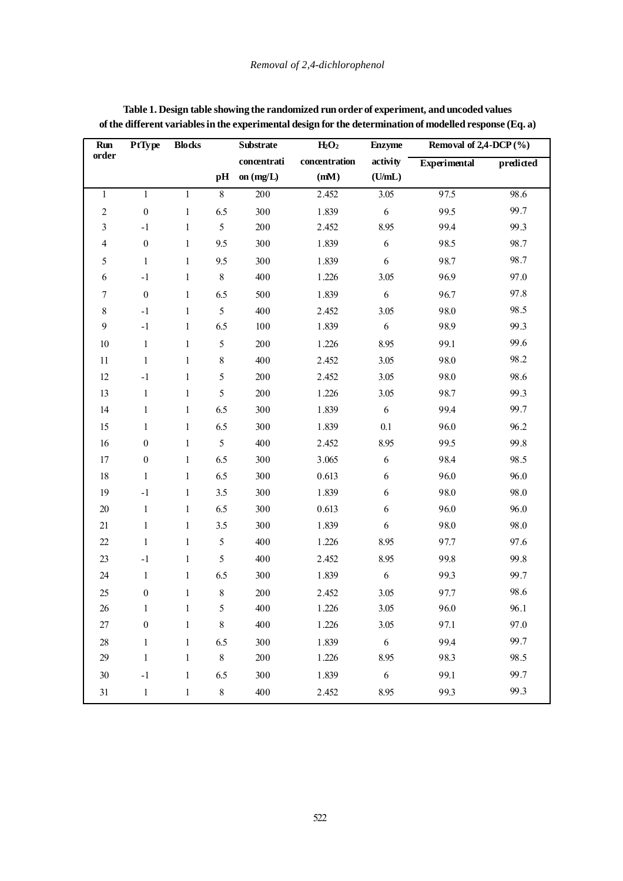| <b>Run</b>              | <b>PtType</b>    | <b>Blocks</b> |                | <b>Substrate</b> | $H_2O_2$      | <b>Enzyme</b>    | Removal of $2,4$ -DCP $(\% )$ |           |
|-------------------------|------------------|---------------|----------------|------------------|---------------|------------------|-------------------------------|-----------|
| order                   |                  |               |                | concentrati      | concentration | activity         | <b>Experimental</b>           | predicted |
|                         |                  |               | pH             | on $(mg/L)$      | (mM)          | (U/mL)           |                               |           |
| $\mathbf{1}$            | $\mathbf{1}$     | $\mathbf{1}$  | $8\,$          | 200              | 2.452         | 3.05             | 97.5                          | 98.6      |
| $\sqrt{2}$              | $\boldsymbol{0}$ | $\mathbf{1}$  | 6.5            | 300              | 1.839         | 6                | 99.5                          | 99.7      |
| $\mathfrak{Z}$          | $-1$             | $\mathbf{1}$  | 5              | 200              | 2.452         | 8.95             | 99.4                          | 99.3      |
| $\overline{\mathbf{4}}$ | $\boldsymbol{0}$ | 1             | 9.5            | 300              | 1.839         | $\sqrt{6}$       | 98.5                          | 98.7      |
| 5                       | $\mathbf{1}$     | $\mathbf{1}$  | 9.5            | 300              | 1.839         | 6                | 98.7                          | 98.7      |
| 6                       | $-1$             | $\mathbf{1}$  | $\,8\,$        | 400              | 1.226         | 3.05             | 96.9                          | 97.0      |
| $\boldsymbol{7}$        | $\boldsymbol{0}$ | $\mathbf{1}$  | 6.5            | 500              | 1.839         | $\sqrt{6}$       | 96.7                          | 97.8      |
| $\,8\,$                 | $-1$             | $\mathbf{1}$  | 5              | 400              | 2.452         | 3.05             | 98.0                          | 98.5      |
| $\mathbf{9}$            | $-1$             | $\mathbf{1}$  | 6.5            | 100              | 1.839         | 6                | 98.9                          | 99.3      |
| 10                      | $\mathbf{1}$     | $\mathbf{1}$  | 5              | 200              | 1.226         | 8.95             | 99.1                          | 99.6      |
| 11                      | $\mathbf{1}$     | $\mathbf{1}$  | $\,$ 8 $\,$    | 400              | 2.452         | 3.05             | 98.0                          | 98.2      |
| 12                      | $-1$             | $\mathbf{1}$  | $\mathfrak s$  | 200              | 2.452         | 3.05             | 98.0                          | 98.6      |
| 13                      | $\mathbf{1}$     | $\mathbf{1}$  | 5              | 200              | 1.226         | 3.05             | 98.7                          | 99.3      |
| 14                      | $\mathbf{1}$     | 1             | 6.5            | 300              | 1.839         | 6                | 99.4                          | 99.7      |
| 15                      | $\mathbf{1}$     | 1             | 6.5            | 300              | 1.839         | 0.1              | 96.0                          | 96.2      |
| 16                      | $\boldsymbol{0}$ | $\mathbf{1}$  | $\mathfrak{S}$ | 400              | 2.452         | 8.95             | 99.5                          | 99.8      |
| 17                      | $\boldsymbol{0}$ | 1             | 6.5            | 300              | 3.065         | $\sqrt{6}$       | 98.4                          | 98.5      |
| 18                      | $\mathbf{1}$     | $\mathbf{1}$  | 6.5            | 300              | 0.613         | 6                | 96.0                          | 96.0      |
| 19                      | $-1$             | $\mathbf{1}$  | $3.5\,$        | 300              | 1.839         | 6                | 98.0                          | 98.0      |
| $20\,$                  | $\mathbf{1}$     | 1             | 6.5            | 300              | 0.613         | 6                | 96.0                          | 96.0      |
| 21                      | $\mathbf{1}$     | $\mathbf{1}$  | 3.5            | 300              | 1.839         | $\sqrt{6}$       | 98.0                          | 98.0      |
| $22\,$                  | $\mathbf{1}$     | $\mathbf{1}$  | $\mathfrak{S}$ | 400              | 1.226         | 8.95             | 97.7                          | 97.6      |
| 23                      | $-1$             | 1             | 5              | 400              | 2.452         | 8.95             | 99.8                          | 99.8      |
| $24\,$                  | $\mathbf{1}$     | $\mathbf{1}$  | 6.5            | 300              | 1.839         | $\boldsymbol{6}$ | 99.3                          | 99.7      |
| 25                      | $\boldsymbol{0}$ | $\mathbf{1}$  | 8              | 200              | 2.452         | 3.05             | 97.7                          | 98.6      |
| 26                      | 1                | $\mathbf{I}$  | 5              | 400              | 1.226         | 3.05             | 96.0                          | 96.1      |
| 27                      | $\boldsymbol{0}$ | $\mathbf{1}$  | $\,$ $\,$      | 400              | 1.226         | 3.05             | 97.1                          | 97.0      |
| 28                      | $\mathbf{1}$     | $\mathbf{1}$  | 6.5            | 300              | 1.839         | 6                | 99.4                          | 99.7      |
| 29                      | $\mathbf{1}$     | $\mathbf{1}$  | $8\,$          | 200              | 1.226         | 8.95             | 98.3                          | 98.5      |
| 30                      | $^{\rm -1}$      | $\mathbf{1}$  | 6.5            | 300              | 1.839         | $\boldsymbol{6}$ | 99.1                          | 99.7      |
| 31                      | $\mathbf{1}$     | $\,1\,$       | $8\,$          | 400              | 2.452         | 8.95             | 99.3                          | 99.3      |

**Table 1. Design table showing the randomized run order of experiment, and uncoded values of the different variables in the experimental design for the determination of modelled response (Eq. a)**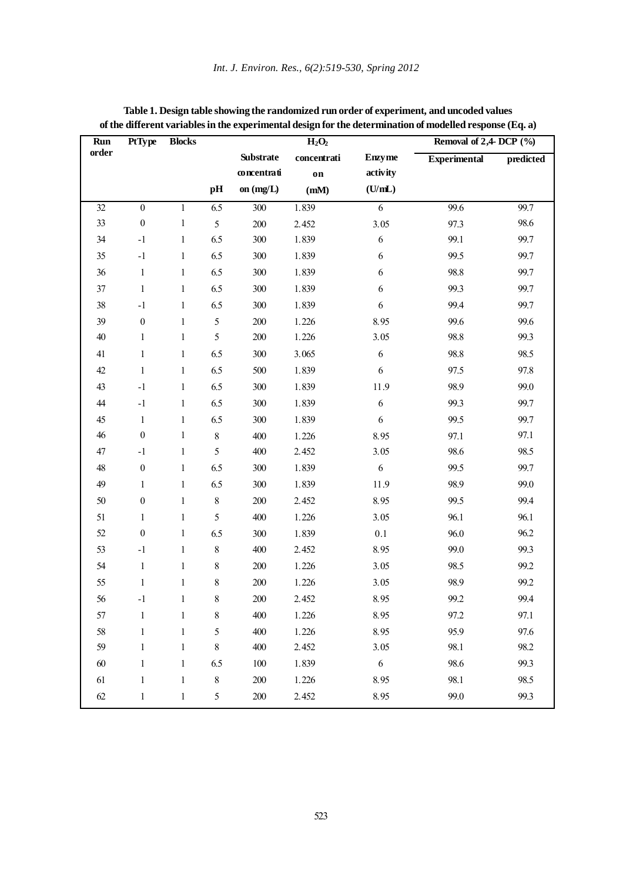| Run   | PtType           | <b>Blocks</b> |                |                  | $H_2O_2$    |                | Removal of 2,4- DCP (%) |           |
|-------|------------------|---------------|----------------|------------------|-------------|----------------|-------------------------|-----------|
| order |                  |               |                | <b>Substrate</b> | concentrati | <b>Enzyme</b>  | <b>Experimental</b>     | predicted |
|       |                  |               |                | concentrati      | on          | activity       |                         |           |
|       |                  |               | pH             | on $(mg/L)$      | (mM)        | (U/mL)         |                         |           |
| 32    | $\boldsymbol{0}$ | $\mathbf{1}$  | 6.5            | 300              | 1.839       | $\overline{6}$ | 99.6                    | 99.7      |
| 33    | $\boldsymbol{0}$ | $\mathbf{1}$  | 5              | 200              | 2.452       | 3.05           | 97.3                    | 98.6      |
| 34    | $-1$             | $\mathbf{1}$  | 6.5            | 300              | 1.839       | 6              | 99.1                    | 99.7      |
| 35    | $-1$             | $\mathbf{1}$  | 6.5            | 300              | 1.839       | 6              | 99.5                    | 99.7      |
| 36    | $\mathbf{1}$     | $\mathbf{1}$  | 6.5            | 300              | 1.839       | 6              | 98.8                    | 99.7      |
| 37    | $\mathbf{1}$     | $\mathbf{1}$  | 6.5            | 300              | 1.839       | 6              | 99.3                    | 99.7      |
| 38    | $^{\rm -1}$      | $\mathbf{1}$  | 6.5            | 300              | 1.839       | 6              | 99.4                    | 99.7      |
| 39    | $\boldsymbol{0}$ | $\mathbf{1}$  | 5              | 200              | 1.226       | 8.95           | 99.6                    | 99.6      |
| 40    | $\mathbf{1}$     | $\,1$         | 5              | 200              | 1.226       | 3.05           | 98.8                    | 99.3      |
| 41    | $\mathbf{1}$     | $\mathbf{1}$  | 6.5            | 300              | 3.065       | 6              | 98.8                    | 98.5      |
| 42    | $\mathbf{1}$     | $\mathbf{1}$  | 6.5            | 500              | 1.839       | 6              | 97.5                    | 97.8      |
| 43    | $-1$             | $\mathbf{1}$  | 6.5            | 300              | 1.839       | 11.9           | 98.9                    | 99.0      |
| 44    | $-1$             | $\mathbf{1}$  | 6.5            | 300              | 1.839       | 6              | 99.3                    | 99.7      |
| 45    | $\mathbf{1}$     | $\mathbf{1}$  | 6.5            | 300              | 1.839       | $\sqrt{6}$     | 99.5                    | 99.7      |
| 46    | $\boldsymbol{0}$ | $\mathbf{1}$  | $8\,$          | 400              | 1.226       | 8.95           | 97.1                    | 97.1      |
| 47    | $-1$             | $\mathbf{1}$  | 5              | 400              | 2.452       | 3.05           | 98.6                    | 98.5      |
| 48    | $\boldsymbol{0}$ | $\mathbf{1}$  | 6.5            | 300              | 1.839       | 6              | 99.5                    | 99.7      |
| 49    | $\mathbf{1}$     | $\mathbf{1}$  | 6.5            | 300              | 1.839       | 11.9           | 98.9                    | 99.0      |
| 50    | $\boldsymbol{0}$ | $\mathbf{1}$  | $\,8\,$        | 200              | 2.452       | 8.95           | 99.5                    | 99.4      |
| 51    | $\mathbf{1}$     | $\mathbf{1}$  | 5              | 400              | 1.226       | 3.05           | 96.1                    | 96.1      |
| 52    | $\boldsymbol{0}$ | $\mathbf{1}$  | 6.5            | 300              | 1.839       | 0.1            | 96.0                    | 96.2      |
| 53    | $^{\rm -1}$      | $\mathbf{1}$  | $8\,$          | 400              | 2.452       | 8.95           | 99.0                    | 99.3      |
| 54    | $\mathbf{1}$     | $\mathbf{1}$  | $8\,$          | 200              | 1.226       | 3.05           | 98.5                    | 99.2      |
| 55    | $\mathbf{1}$     | $\mathbf{1}$  | 8              | 200              | 1.226       | 3.05           | 98.9                    | 99.2      |
| 56    | -1               | 1             | 8              | 200              | 2.452       | 8.95           | 99.2                    | 99.4      |
| 57    | $\mathbf{1}$     | $\mathbf{1}$  | 8              | 400              | 1.226       | 8.95           | 97.2                    | 97.1      |
| 58    | $\mathbf{1}$     | $\mathbf{1}$  | 5              | 400              | 1.226       | 8.95           | 95.9                    | 97.6      |
| 59    | $\mathbf{1}$     | $\mathbf{1}$  | 8              | 400              | 2.452       | 3.05           | 98.1                    | 98.2      |
| 60    | $\mathbf{1}$     | $\mathbf{1}$  | 6.5            | 100              | 1.839       | 6              | 98.6                    | 99.3      |
| 61    | $\mathbf{1}$     | $\mathbf{1}$  | $8\,$          | 200              | 1.226       | 8.95           | 98.1                    | 98.5      |
| 62    | $\mathbf{1}$     | $\mathbf{1}$  | 5 <sup>5</sup> | 200              | 2.452       | 8.95           | 99.0                    | 99.3      |
|       |                  |               |                |                  |             |                |                         |           |

| Table 1. Design table showing the randomized run order of experiment, and uncoded values                 |
|----------------------------------------------------------------------------------------------------------|
| of the different variables in the experimental design for the determination of modelled response (Eq. a) |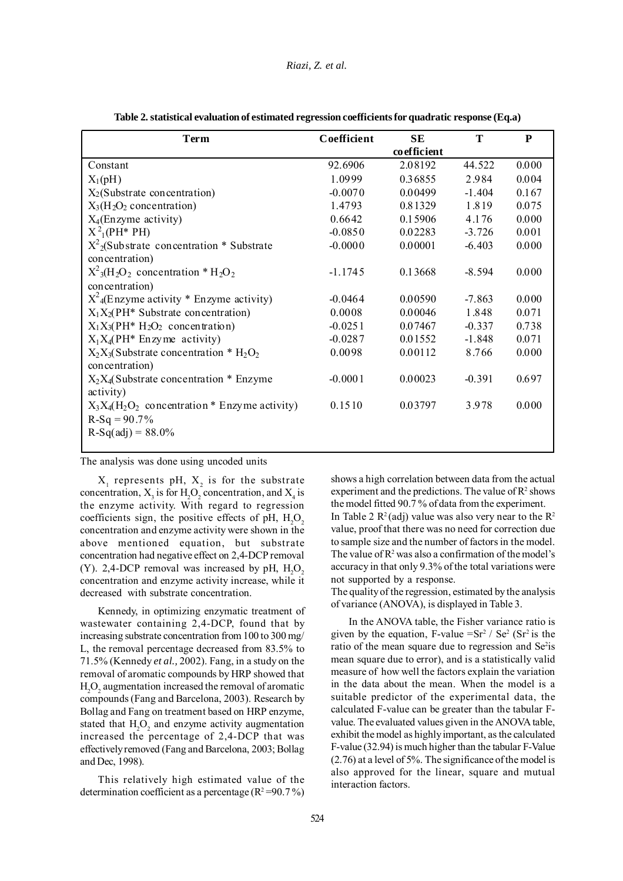| Term                                                                                 | Coefficient | SЕ          | T        | P     |
|--------------------------------------------------------------------------------------|-------------|-------------|----------|-------|
|                                                                                      |             | coefficient |          |       |
| Constant                                                                             | 92.6906     | 2.08192     | 44.522   | 0.000 |
| $X_1(pH)$                                                                            | 1.0999      | 0.36855     | 2.984    | 0.004 |
| $X_2$ (Substrate concentration)                                                      | $-0.0070$   | 0.00499     | $-1.404$ | 0.167 |
| $X_3(H_2O_2)$ concentration)                                                         | 1.4793      | 0.81329     | 1.819    | 0.075 |
| $X_4$ (Enzyme activity)                                                              | 0.6642      | 0.15906     | 4.176    | 0.000 |
| $X^2$ <sub>1</sub> (PH <sup>*</sup> PH)                                              | $-0.0850$   | 0.02283     | $-3.726$ | 0.001 |
| $X^2$ <sub>2</sub> (Substrate concentration * Substrate                              | $-0.0000$   | 0.00001     | $-6.403$ | 0.000 |
| concentration)                                                                       |             |             |          |       |
| $X^2_3$ (H <sub>2</sub> O <sub>2</sub> concentration * H <sub>2</sub> O <sub>2</sub> | $-1.1745$   | 0.13668     | $-8.594$ | 0.000 |
| concentration)                                                                       |             |             |          |       |
| $X^2$ <sub>4</sub> (Enzyme activity * Enzyme activity)                               | $-0.0464$   | 0.00590     | $-7.863$ | 0.000 |
| $X_1X_2$ (PH <sup>*</sup> Substrate concentration)                                   | 0.0008      | 0.00046     | 1.848    | 0.071 |
| $X_1X_3$ (PH <sup>*</sup> H <sub>2</sub> O <sub>2</sub> concentration)               | $-0.0251$   | 0.07467     | $-0.337$ | 0.738 |
| $X_1X_4$ (PH <sup>*</sup> Enzyme activity)                                           | $-0.0287$   | 0.01552     | $-1.848$ | 0.071 |
| $X_2X_3$ (Substrate concentration * $H_2O_2$<br>concentration)                       | 0.0098      | 0.00112     | 8.766    | 0.000 |
| $X_2X_4$ (Substrate concentration * Enzyme<br>activity)                              | $-0.0001$   | 0.00023     | $-0.391$ | 0.697 |
| $X_3X_4(H_2O_2)$ concentration * Enzyme activity)                                    | 0.1510      | 0.03797     | 3.978    | 0.000 |
| $R-Sq = 90.7%$                                                                       |             |             |          |       |
| $R-Sq(adj) = 88.0\%$                                                                 |             |             |          |       |
|                                                                                      |             |             |          |       |

**Table 2. statistical evaluation of estimated regression coefficients for quadratic response (Eq.a)**

The analysis was done using uncoded units

 $X_1$  represents pH,  $X_2$  is for the substrate concentration,  $X_3$  is for  $H_2O_2$  concentration, and  $X_4$  is the enzyme activity. With regard to regression coefficients sign, the positive effects of pH,  $H_2O_2$ concentration and enzyme activity were shown in the above mentioned equation, but substrate concentration had negative effect on 2,4-DCP removal (Y). 2,4-DCP removal was increased by pH,  $H_2O_2$ concentration and enzyme activity increase, while it decreased with substrate concentration.

Kennedy, in optimizing enzymatic treatment of wastewater containing 2,4-DCP, found that by increasing substrate concentration from 100 to 300 mg/ L, the removal percentage decreased from 83.5% to 71.5% (Kennedy *et al.,* 2002). Fang, in a study on the removal of aromatic compounds by HRP showed that  $H_2O_2$  augmentation increased the removal of aromatic compounds (Fang and Barcelona, 2003). Research by Bollag and Fang on treatment based on HRP enzyme, stated that  $H_2O_2$  and enzyme activity augmentation increased the percentage of 2,4-DCP that was effectively removed (Fang and Barcelona, 2003; Bollag and Dec, 1998).

This relatively high estimated value of the determination coefficient as a percentage ( $R^2 = 90.7\%$ )

shows a high correlation between data from the actual experiment and the predictions. The value of  $\mathbb{R}^2$  shows the model fitted 90.7 % of data from the experiment. In Table 2  $\mathbb{R}^2$  (adj) value was also very near to the  $\mathbb{R}^2$ value, proof that there was no need for correction due to sample size and the number of factors in the model. The value of  $\mathbb{R}^2$  was also a confirmation of the model's accuracy in that only 9.3% of the total variations were not supported by a response.

The quality of the regression, estimated by the analysis of variance (ANOVA), is displayed in Table 3.

In the ANOVA table, the Fisher variance ratio is given by the equation, F-value = $Sr^2 / Se^2 (Sr^2)$  is the ratio of the mean square due to regression and Se<sup>2</sup>is mean square due to error), and is a statistically valid measure of how well the factors explain the variation in the data about the mean. When the model is a suitable predictor of the experimental data, the calculated F-value can be greater than the tabular Fvalue. The evaluated values given in the ANOVA table, exhibit the model as highly important, as the calculated F-value (32.94) is much higher than the tabular F-Value (2.76) at a level of 5%. The significance of the model is also approved for the linear, square and mutual interaction factors.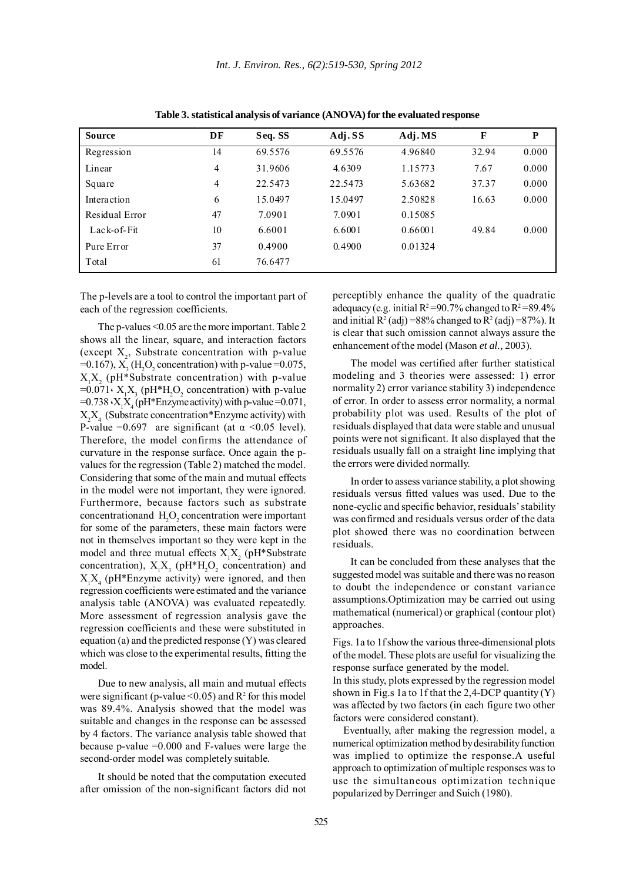| <b>Source</b>  | DF             | Seq. SS | Adj.SS  | Adj.MS  | F     | P     |
|----------------|----------------|---------|---------|---------|-------|-------|
| Regression     | 14             | 69.5576 | 69.5576 | 4.96840 | 32.94 | 0.000 |
| Linear         | $\overline{4}$ | 31.9606 | 4.6309  | 1.15773 | 7.67  | 0.000 |
| Square         | 4              | 22.5473 | 22.5473 | 5.63682 | 37.37 | 0.000 |
| Interaction    | 6              | 15.0497 | 15.0497 | 2.50828 | 16.63 | 0.000 |
| Residual Error | 47             | 7.0901  | 7.0901  | 0.15085 |       |       |
| $Lack-of-Fit$  | 10             | 6.6001  | 6.6001  | 0.66001 | 49.84 | 0.000 |
| Pure Error     | 37             | 0.4900  | 0.4900  | 0.01324 |       |       |
| Total          | 61             | 76.6477 |         |         |       |       |

**Table 3. statistical analysis of variance (ANOVA) for the evaluated response**

The p-levels are a tool to control the important part of each of the regression coefficients.

The p-values <0.05 are the more important. Table 2 shows all the linear, square, and interaction factors (except  $X_2$ , Substrate concentration with p-value  $=0.167$ ),  $X_3$  (H<sub>2</sub>O<sub>2</sub> concentration) with p-value  $=0.075$ ,  $X_1X_2$  (pH\*Substrate concentration) with p-value =0.071 $\cdot$  X<sub>1</sub>X<sub>3</sub> (pH\*H<sub>2</sub>O<sub>2</sub> concentration) with p-value =0.738  $\cdot$ X<sub>1</sub>X<sub>4</sub> (pH\*Enzyme activity) with p-value =0.071,  $X_2X_4$  (Substrate concentration\*Enzyme activity) with P-value =0.697 are significant (at  $\alpha$  <0.05 level). Therefore, the model confirms the attendance of curvature in the response surface. Once again the pvalues for the regression (Table 2) matched the model. Considering that some of the main and mutual effects in the model were not important, they were ignored. Furthermore, because factors such as substrate  $\text{concentrationand } H_2O_2 \text{ concentration were important}$ for some of the parameters, these main factors were not in themselves important so they were kept in the model and three mutual effects  $X_1X_2$  (pH\*Substrate concentration),  $X_1X_3$  (pH\*H<sub>2</sub>O<sub>2</sub> concentration) and  $X_1X_4$  (pH\*Enzyme activity) were ignored, and then regression coefficients were estimated and the variance analysis table (ANOVA) was evaluated repeatedly. More assessment of regression analysis gave the regression coefficients and these were substituted in equation (a) and the predicted response (Y) was cleared which was close to the experimental results, fitting the model.

Due to new analysis, all main and mutual effects were significant (p-value  $\leq 0.05$ ) and  $R^2$  for this model was 89.4%. Analysis showed that the model was suitable and changes in the response can be assessed by 4 factors. The variance analysis table showed that because p-value =0.000 and F-values were large the second-order model was completely suitable.

It should be noted that the computation executed after omission of the non-significant factors did not perceptibly enhance the quality of the quadratic adequacy (e.g. initial  $R^2 = 90.7\%$  changed to  $R^2 = 89.4\%$ and initial  $R^2$  (adj) =88% changed to  $R^2$  (adj) =87%). It is clear that such omission cannot always assure the enhancement of the model (Mason *et al.,* 2003).

The model was certified after further statistical modeling and 3 theories were assessed: 1) error normality 2) error variance stability 3) independence of error. In order to assess error normality, a normal probability plot was used. Results of the plot of residuals displayed that data were stable and unusual points were not significant. It also displayed that the residuals usually fall on a straight line implying that the errors were divided normally.

In order to assess variance stability, a plot showing residuals versus fitted values was used. Due to the none-cyclic and specific behavior, residuals' stability was confirmed and residuals versus order of the data plot showed there was no coordination between residuals.

It can be concluded from these analyses that the suggested model was suitable and there was no reason to doubt the independence or constant variance assumptions.Optimization may be carried out using mathematical (numerical) or graphical (contour plot) approaches.

Figs. 1a to 1f show the various three-dimensional plots of the model. These plots are useful for visualizing the response surface generated by the model.

In this study, plots expressed by the regression model shown in Fig.s 1a to 1f that the 2,4-DCP quantity  $(Y)$ was affected by two factors (in each figure two other factors were considered constant).

Eventually, after making the regression model, a numerical optimization method by desirability function was implied to optimize the response.A useful approach to optimization of multiple responses was to use the simultaneous optimization technique popularized by Derringer and Suich (1980).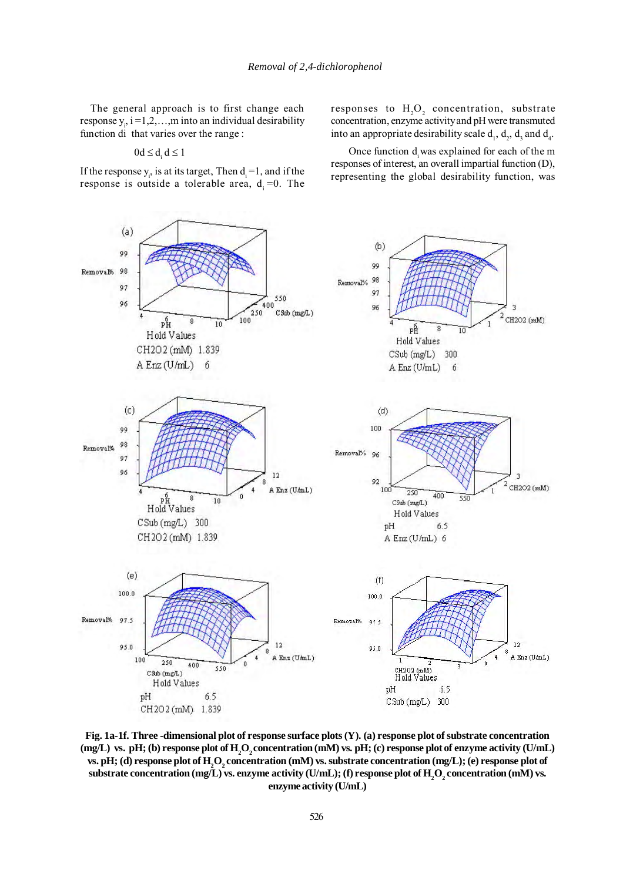The general approach is to first change each response  $y_i$ , i =1,2,...,m into an individual desirability function di that varies over the range :

$$
0d \leq d_i d \leq 1
$$

If the response  $y_i$ , is at its target, Then  $d_i = 1$ , and if the response is outside a tolerable area,  $d = 0$ . The

responses to  $H_2O_2$  concentration, substrate concentration, enzyme activity and pH were transmuted into an appropriate desirability scale  $d_1$ ,  $d_2$ ,  $d_3$  and  $d_4$ .

Once function d was explained for each of the m responses of interest, an overall impartial function (D), representing the global desirability function, was



**Fig. 1a-1f. Three -dimensional plot of response surface plots (Y). (a) response plot of substrate concentration** (mg/L) vs. pH; (b) response plot of  $H_2O_2$  concentration (mM) vs. pH; (c) response plot of enzyme activity (U/mL) **vs. pH;** (d) response plot of  $H_2O_2$  concentration (mM) vs. substrate concentration (mg/L); (e) response plot of  $\bf{s}$ ubstrate concentration (mg/L) vs. enzyme activity (U/mL); (f) response plot of  $\rm{H}_{2}\rm{O}_{2}$  concentration (mM) vs. **enzyme activity (U/mL)**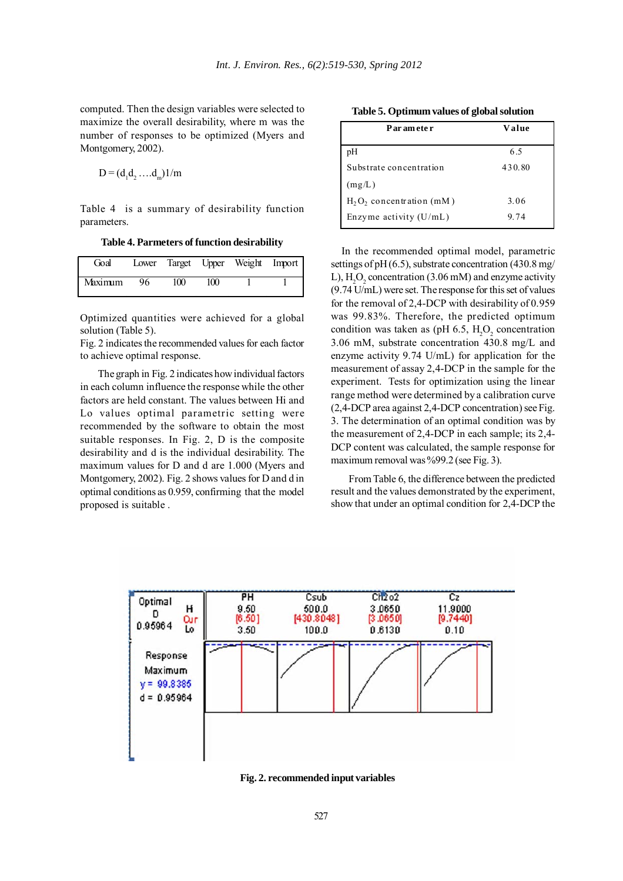computed. Then the design variables were selected to maximize the overall desirability, where m was the number of responses to be optimized (Myers and Montgomery, 2002).

$$
D = (d_1 d_2 \dots d_m) 1/m
$$

Table 4 is a summary of desirability function parameters.

**Table 4. Parmeters of function desirability**

| Goal    |    |     |     | Lower Target Upper Weight Import |  |
|---------|----|-----|-----|----------------------------------|--|
| Maximum | 96 | 100 | 100 |                                  |  |

Optimized quantities were achieved for a global solution (Table 5).

Fig. 2 indicates the recommended values for each factor to achieve optimal response.

The graph in Fig. 2 indicates how individual factors in each column influence the response while the other factors are held constant. The values between Hi and Lo values optimal parametric setting were recommended by the software to obtain the most suitable responses. In Fig. 2, D is the composite desirability and d is the individual desirability. The maximum values for D and d are 1.000 (Myers and Montgomery, 2002). Fig. 2 shows values for D and d in optimal conditions as 0.959, confirming that the model proposed is suitable .

**Table 5. Optimum values of global solution**

| Par am ete r                | Value  |
|-----------------------------|--------|
| pH                          | 65     |
| Substrate concentration     | 430.80 |
| (mg/L)                      |        |
| $H_2O_2$ concentration (mM) | 3.06   |
| Enzyme activity $(U/mL)$    | 974    |

In the recommended optimal model, parametric settings of pH (6.5), substrate concentration (430.8 mg/ L),  $H_2O_2$  concentration (3.06 mM) and enzyme activity (9.74 U/mL) were set. The response for this set of values for the removal of 2,4-DCP with desirability of 0.959 was 99.83%. Therefore, the predicted optimum condition was taken as (pH 6.5,  $H_2O_2$  concentration 3.06 mM, substrate concentration 430.8 mg/L and enzyme activity 9.74 U/mL) for application for the measurement of assay 2,4-DCP in the sample for the experiment. Tests for optimization using the linear range method were determined by a calibration curve (2,4-DCP area against 2,4-DCP concentration) see Fig. 3. The determination of an optimal condition was by the measurement of 2,4-DCP in each sample; its 2,4- DCP content was calculated, the sample response for maximum removal was %99.2 (see Fig. 3).

From Table 6, the difference between the predicted result and the values demonstrated by the experiment, show that under an optimal condition for 2,4-DCP the



**Fig. 2. recommended input variables**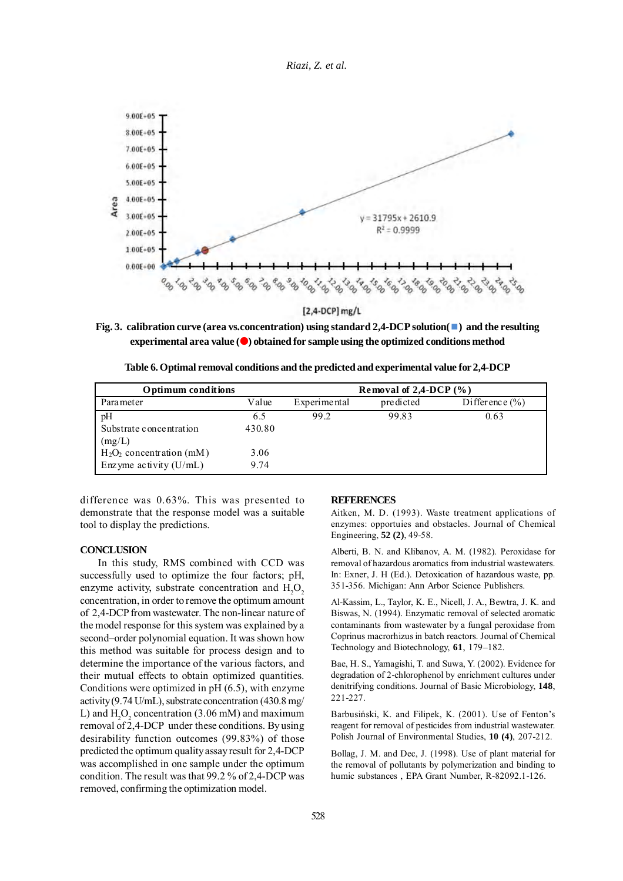*Riazi, Z. et al.*



 $[2,4-DCP]$  mg/L

**Fig. 3. calibration curve (area vs.concentration) using standard 2,4-DCP solution(** $\blacksquare$ **) and the resulting experimental area value (** $\bullet$ ) obtained for sample using the optimized conditions method

|  | Table 6. Optimal removal conditions and the predicted and experimental value for 2,4-DCP |
|--|------------------------------------------------------------------------------------------|
|--|------------------------------------------------------------------------------------------|

| Optimum conditions          |        | Removal of $2,4-DCP$ (%) |           |                    |  |
|-----------------------------|--------|--------------------------|-----------|--------------------|--|
| Parameter                   | Value  | Experimental             | predicted | Difference $(\% )$ |  |
| pH                          | 6.5    | 99 2                     | 99.83     | 0.63               |  |
| Substrate concentration     | 430.80 |                          |           |                    |  |
| (mg/L)                      |        |                          |           |                    |  |
| $H_2O_2$ concentration (mM) | 3.06   |                          |           |                    |  |
| Enzyme activity $(U/mL)$    | 9.74   |                          |           |                    |  |

difference was 0.63%. This was presented to demonstrate that the response model was a suitable tool to display the predictions.

### **CONCLUSION**

In this study, RMS combined with CCD was successfully used to optimize the four factors; pH, enzyme activity, substrate concentration and  $H_2O_2$ concentration, in order to remove the optimum amount of 2,4-DCP from wastewater. The non-linear nature of the model response for this system was explained by a second–order polynomial equation. It was shown how this method was suitable for process design and to determine the importance of the various factors, and their mutual effects to obtain optimized quantities. Conditions were optimized in pH (6.5), with enzyme activity (9.74 U/mL), substrate concentration (430.8 mg/ L) and  $H_2O_2$  concentration (3.06 mM) and maximum removal of  $2,4$ -DCP under these conditions. By using desirability function outcomes (99.83%) of those predicted the optimum quality assay result for 2,4-DCP was accomplished in one sample under the optimum condition. The result was that 99.2 % of 2,4-DCP was removed, confirming the optimization model.

#### **REFERENCES**

Aitken, M. D. (1993). Waste treatment applications of enzymes: opportuies and obstacles. Journal of Chemical Engineering, **52 (2)**, 49-58.

Alberti, B. N. and Klibanov, A. M. (1982). Peroxidase for removal of hazardous aromatics from industrial wastewaters. In: Exner, J. H (Ed.). Detoxication of hazardous waste, pp. 351-356. Michigan: Ann Arbor Science Publishers.

Al-Kassim, L., Taylor, K. E., Nicell, J. A., Bewtra, J. K. and Biswas, N. (1994). Enzymatic removal of selected aromatic contaminants from wastewater by a fungal peroxidase from Coprinus macrorhizus in batch reactors. Journal of Chemical Technology and Biotechnology, **61**, 179–182.

Bae, H. S., Yamagishi, T. and Suwa, Y. (2002). Evidence for degradation of 2-chlorophenol by enrichment cultures under denitrifying conditions. Journal of Basic Microbiology, **148**, 221-227.

Barbusiński, K. and Filipek, K. (2001). Use of Fenton's reagent for removal of pesticides from industrial wastewater. Polish Journal of Environmental Studies, **10 (4)**, 207-212.

Bollag, J. M. and Dec, J. (1998). Use of plant material for the removal of pollutants by polymerization and binding to humic substances , EPA Grant Number, R-82092.1-126.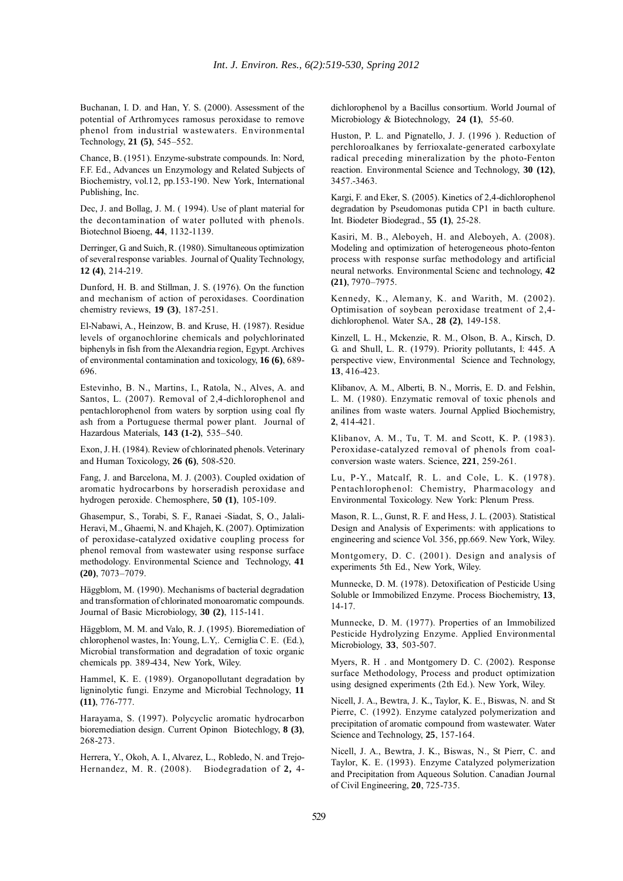Buchanan, I. D. and Han, Y. S. (2000). Assessment of the potential of Arthromyces ramosus peroxidase to remove phenol from industrial wastewaters. Environmental Technology, **21 (5)**, 545–552.

Chance, B. (1951). Enzyme-substrate compounds. In: Nord, F.F. Ed., Advances un Enzymology and Related Subjects of Biochemistry, vol.12, pp.153-190. New York, International Publishing, Inc.

Dec, J. and Bollag, J. M. ( 1994). Use of plant material for the decontamination of water polluted with phenols. Biotechnol Bioeng, **44**, 1132-1139.

Derringer, G. and Suich, R. (1980). Simultaneous optimization of several response variables. Journal of Quality Technology, **12 (4)**, 214-219.

Dunford, H. B. and Stillman, J. S. (1976). On the function and mechanism of action of peroxidases. Coordination chemistry reviews, **19 (3)**, 187-251.

El-Nabawi, A., Heinzow, B. and Kruse, H. (1987). Residue levels of organochlorine chemicals and polychlorinated biphenyls in fish from the Alexandria region, Egypt. Archives of environmental contamination and toxicology, **16 (6)**, 689- 696.

Estevinho, B. N., Martins, I., Ratola, N., Alves, A. and Santos, L. (2007). Removal of 2,4-dichlorophenol and pentachlorophenol from waters by sorption using coal fly ash from a Portuguese thermal power plant. Journal of Hazardous Materials, **143 (1-2)**, 535–540.

Exon, J. H. (1984). Review of chlorinated phenols. Veterinary and Human Toxicology, **26 (6)**, 508-520.

Fang, J. and Barcelona, M. J. (2003). Coupled oxidation of aromatic hydrocarbons by horseradish peroxidase and hydrogen peroxide. Chemosphere, **50 (1)**, 105-109.

Ghasempur, S., Torabi, S. F., Ranaei -Siadat, S, O., Jalali-Heravi, M., Ghaemi, N. and Khajeh, K. (2007). Optimization of peroxidase-catalyzed oxidative coupling process for phenol removal from wastewater using response surface methodology. Environmental Science and Technology, **41 (20)**, 7073–7079.

Häggblom, M. (1990). Mechanisms of bacterial degradation and transformation of chlorinated monoaromatic compounds. Journal of Basic Microbiology, **30 (2)**, 115-141.

Häggblom, M. M. and Valo, R. J. (1995). Bioremediation of chlorophenol wastes, In: Young, L.Y,. Cerniglia C. E. (Ed.), Microbial transformation and degradation of toxic organic chemicals pp. 389-434, New York, Wiley.

Hammel, K. E. (1989). Organopollutant degradation by ligninolytic fungi. Enzyme and Microbial Technology, **11 (11)**, 776-777.

Harayama, S. (1997). Polycyclic aromatic hydrocarbon bioremediation design. Current Opinon Biotechlogy, **8 (3)**, 268-273.

Herrera, Y., Okoh, A. I., Alvarez, L., Robledo, N. and Trejo-Hernandez, M. R. (2008). Biodegradation of **2,** 4dichlorophenol by a Bacillus consortium. World Journal of Microbiology & Biotechnology, **24 (1)**, 55-60.

Huston, P. L. and Pignatello, J. J. (1996 ). Reduction of perchloroalkanes by ferrioxalate-generated carboxylate radical preceding mineralization by the photo-Fenton reaction. Environmental Science and Technology, **30 (12)**, 3457.-3463.

Kargi, F. and Eker, S. (2005). Kinetics of 2,4-dichlorophenol degradation by Pseudomonas putida CP1 in bacth culture. Int. Biodeter Biodegrad., **55 (1)**, 25-28.

Kasiri, M. B., Aleboyeh, H. and Aleboyeh, A. (2008). Modeling and optimization of heterogeneous photo-fenton process with response surfac methodology and artificial neural networks. Environmental Scienc and technology, **42 (21)**, 7970–7975.

Kennedy, K., Alemany, K. and Warith, M. (2002). Optimisation of soybean peroxidase treatment of 2,4 dichlorophenol. Water SA., **28 (2)**, 149-158.

Kinzell, L. H., Mckenzie, R. M., Olson, B. A., Kirsch, D. G. and Shull, L. R. (1979). Priority pollutants, I: 445. A perspective view, Environmental Science and Technology, **13**, 416-423.

Klibanov, A. M., Alberti, B. N., Morris, E. D. and Felshin, L. M. (1980). Enzymatic removal of toxic phenols and anilines from waste waters. Journal Applied Biochemistry, **2**, 414-421.

Klibanov, A. M., Tu, T. M. and Scott, K. P. (1983). Peroxidase-catalyzed removal of phenols from coalconversion waste waters. Science, **221**, 259-261.

Lu, P-Y., Matcalf, R. L. and Cole, L. K. (1978). Pentachlorophenol: Chemistry, Pharmacology and Environmental Toxicology. New York: Plenum Press.

Mason, R. L., Gunst, R. F. and Hess, J. L. (2003). Statistical Design and Analysis of Experiments: with applications to engineering and science Vol. 356, pp.669. New York, Wiley.

Montgomery, D. C. (2001). Design and analysis of experiments 5th Ed., New York, Wiley.

Munnecke, D. M. (1978). Detoxification of Pesticide Using Soluble or Immobilized Enzyme. Process Biochemistry, **13**, 14-17.

Munnecke, D. M. (1977). Properties of an Immobilized Pesticide Hydrolyzing Enzyme. Applied Environmental Microbiology, **33**, 503-507.

Myers, R. H . and Montgomery D. C. (2002). Response surface Methodology, Process and product optimization using designed experiments (2th Ed.). New York, Wiley.

Nicell, J. A., Bewtra, J. K., Taylor, K. E., Biswas, N. and St Pierre, C. (1992). Enzyme catalyzed polymerization and precipitation of aromatic compound from wastewater. Water Science and Technology, **25**, 157-164.

Nicell, J. A., Bewtra, J. K., Biswas, N., St Pierr, C. and Taylor, K. E. (1993). Enzyme Catalyzed polymerization and Precipitation from Aqueous Solution. Canadian Journal of Civil Engineering, **20**, 725-735.